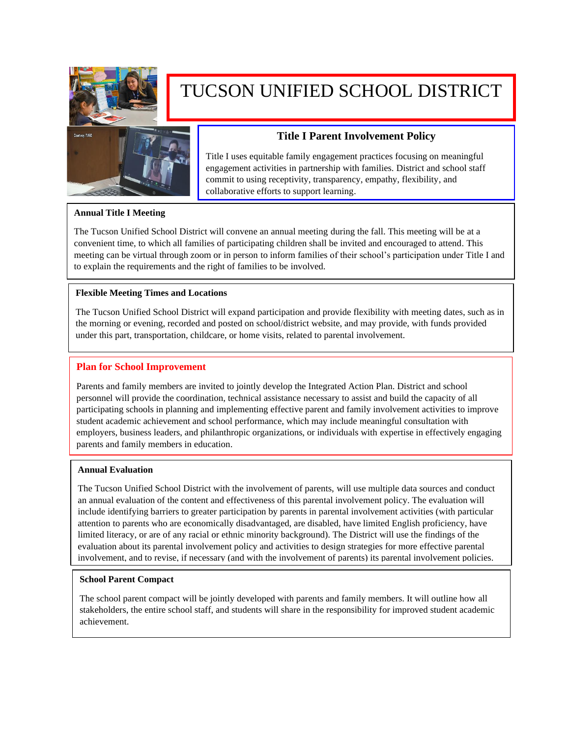

# TUCSON UNIFIED SCHOOL DISTRICT



## **Title I Parent Involvement Policy**

Title I uses equitable family engagement practices focusing on meaningful engagement activities in partnership with families. District and school staff commit to using receptivity, transparency, empathy, flexibility, and collaborative efforts to support learning.

#### **Annual Title I Meeting**

The Tucson Unified School District will convene an annual meeting during the fall. This meeting will be at a convenient time, to which all families of participating children shall be invited and encouraged to attend. This meeting can be virtual through zoom or in person to inform families of their school's participation under Title I and to explain the requirements and the right of families to be involved.

#### **Flexible Meeting Times and Locations**

The Tucson Unified School District will expand participation and provide flexibility with meeting dates, such as in the morning or evening, recorded and posted on school/district website, and may provide, with funds provided under this part, transportation, childcare, or home visits, related to parental involvement.

#### **Plan for School Improvement**

Parents and family members are invited to jointly develop the Integrated Action Plan. District and school personnel will provide the coordination, technical assistance necessary to assist and build the capacity of all participating schools in planning and implementing effective parent and family involvement activities to improve student academic achievement and school performance, which may include meaningful consultation with employers, business leaders, and philanthropic organizations, or individuals with expertise in effectively engaging parents and family members in education.

#### **Annual Evaluation**

The Tucson Unified School District with the involvement of parents, will use multiple data sources and conduct an annual evaluation of the content and effectiveness of this parental involvement policy. The evaluation will include identifying barriers to greater participation by parents in parental involvement activities (with particular attention to parents who are economically disadvantaged, are disabled, have limited English proficiency, have limited literacy, or are of any racial or ethnic minority background). The District will use the findings of the evaluation about its parental involvement policy and activities to design strategies for more effective parental involvement, and to revise, if necessary (and with the involvement of parents) its parental involvement policies.

#### **School Parent Compact**

The school parent compact will be jointly developed with parents and family members. It will outline how all stakeholders, the entire school staff, and students will share in the responsibility for improved student academic achievement.